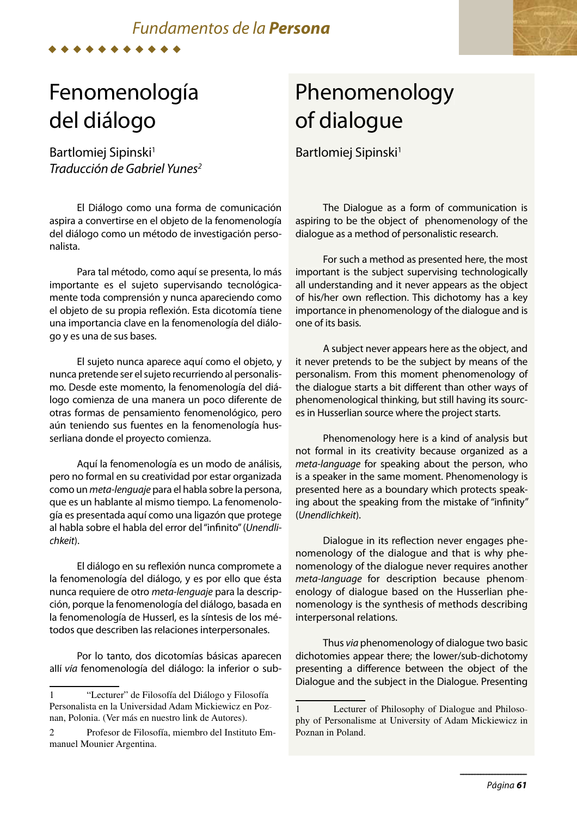## *Fundamentos de la Persona*

Fenomenología del diálogo

Bartlomiej Sipinski<sup>1</sup> Traducción de Gabriel Yunes<sup>2</sup>

El Diálogo como una forma de comunicación aspira a convertirse en el objeto de la fenomenología del diálogo como un método de investigación personalista.

Para tal método, como aquí se presenta, lo más importante es el sujeto supervisando tecnológicamente toda comprensión y nunca apareciendo como el objeto de su propia reflexión. Esta dicotomía tiene una importancia clave en la fenomenología del diálogo y es una de sus bases.

El sujeto nunca aparece aquí como el objeto, y nunca pretende ser el sujeto recurriendo al personalismo. Desde este momento, la fenomenología del diálogo comienza de una manera un poco diferente de otras formas de pensamiento fenomenológico, pero aún teniendo sus fuentes en la fenomenología husserliana donde el proyecto comienza.

Aquí la fenomenología es un modo de análisis, pero no formal en su creatividad por estar organizada como un meta-lenguaje para el habla sobre la persona, que es un hablante al mismo tiempo. La fenomenología es presentada aquí como una ligazón que protege al habla sobre el habla del error del "infinito" (Unendlichkeit).

El diálogo en su reflexión nunca compromete a la fenomenología del diálogo, y es por ello que ésta nunca requiere de otro meta-lenguaje para la descripción, porque la fenomenología del diálogo, basada en la fenomenología de Husserl, es la síntesis de los métodos que describen las relaciones interpersonales.

Por lo tanto, dos dicotomías básicas aparecen allí vía fenomenología del diálogo: la inferior o sub-

## Phenomenology of dialogue

Bartlomiej Sipinski<sup>1</sup>

The Dialogue as a form of communication is aspiring to be the object of phenomenology of the dialogue as a method of personalistic research.

For such a method as presented here, the most important is the subject supervising technologically all understanding and it never appears as the object of his/her own reflection. This dichotomy has a key importance in phenomenology of the dialogue and is one of its basis.

A subject never appears here as the object, and it never pretends to be the subject by means of the personalism. From this moment phenomenology of the dialogue starts a bit different than other ways of phenomenological thinking, but still having its sources in Husserlian source where the project starts.

Phenomenology here is a kind of analysis but not formal in its creativity because organized as a meta-language for speaking about the person, who is a speaker in the same moment. Phenomenology is presented here as a boundary which protects speaking about the speaking from the mistake of "infinity" (Unendlichkeit).

Dialogue in its reflection never engages phenomenology of the dialogue and that is why phenomenology of the dialogue never requires another meta-language for description because phenomenology of dialogue based on the Husserlian phenomenology is the synthesis of methods describing interpersonal relations.

Thus via phenomenology of dialogue two basic dichotomies appear there; the lower/sub-dichotomy presenting a difference between the object of the Dialogue and the subject in the Dialogue. Presenting

<sup>1</sup> "Lecturer" de Filosofía del Diálogo y Filosofía Personalista en la Universidad Adam Mickiewicz en Poznan, Polonia. (Ver más en nuestro link de Autores).

<sup>2</sup> Profesor de Filosofía, miembro del Instituto Emmanuel Mounier Argentina.

<sup>1</sup> Lecturer of Philosophy of Dialogue and Philosophy of Personalisme at University of Adam Mickiewicz in Poznan in Poland.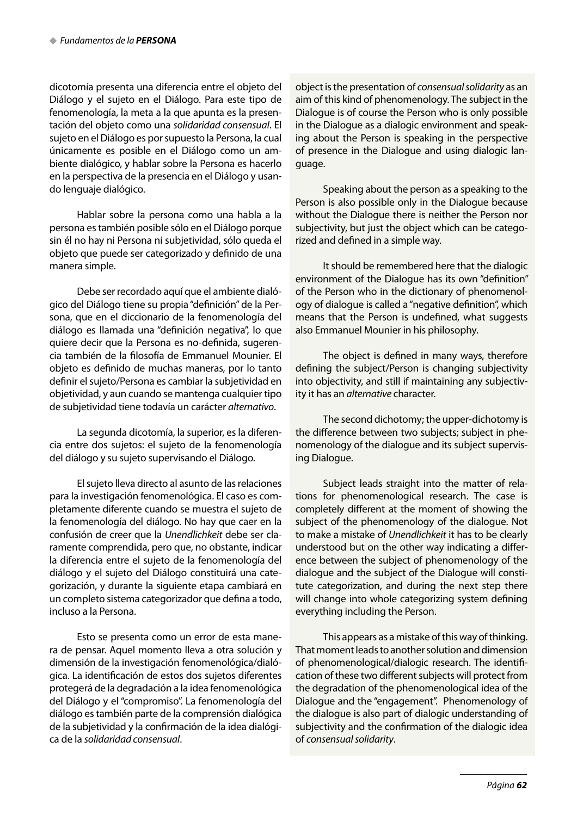dicotomía presenta una diferencia entre el objeto del Diálogo y el sujeto en el Diálogo. Para este tipo de fenomenología, la meta a la que apunta es la presentación del objeto como una solidaridad consensual. El sujeto en el Diálogo es por supuesto la Persona, la cual únicamente es posible en el Diálogo como un ambiente dialógico, y hablar sobre la Persona es hacerlo en la perspectiva de la presencia en el Diálogo y usando lenguaje dialógico.

Hablar sobre la persona como una habla a la persona es también posible sólo en el Diálogo porque sin él no hay ni Persona ni subjetividad, sólo queda el objeto que puede ser categorizado y definido de una manera simple.

Debe ser recordado aquí que el ambiente dialógico del Diálogo tiene su propia "definición" de la Persona, que en el diccionario de la fenomenología del diálogo es llamada una "definición negativa", lo que quiere decir que la Persona es no-definida, sugerencia también de la filosofía de Emmanuel Mounier. El objeto es definido de muchas maneras, por lo tanto definir el sujeto/Persona es cambiar la subjetividad en objetividad, y aun cuando se mantenga cualquier tipo de subjetividad tiene todavía un carácter alternativo.

La segunda dicotomía, la superior, es la diferencia entre dos sujetos: el sujeto de la fenomenología del diálogo y su sujeto supervisando el Diálogo.

El sujeto lleva directo al asunto de las relaciones para la investigación fenomenológica. El caso es completamente diferente cuando se muestra el sujeto de la fenomenología del diálogo. No hay que caer en la confusión de creer que la Unendlichkeit debe ser claramente comprendida, pero que, no obstante, indicar la diferencia entre el sujeto de la fenomenología del diálogo y el sujeto del Diálogo constituirá una categorización, y durante la siguiente etapa cambiará en un completo sistema categorizador que defina a todo, incluso a la Persona.

Esto se presenta como un error de esta manera de pensar. Aquel momento lleva a otra solución y dimensión de la investigación fenomenológica/dialógica. La identificación de estos dos sujetos diferentes protegerá de la degradación a la idea fenomenológica del Diálogo y el "compromiso". La fenomenología del diálogo es también parte de la comprensión dialógica de la subjetividad y la confirmación de la idea dialógica de la solidaridad consensual.

object is the presentation of consensual solidarity as an aim of this kind of phenomenology. The subject in the Dialogue is of course the Person who is only possible in the Dialogue as a dialogic environment and speaking about the Person is speaking in the perspective of presence in the Dialogue and using dialogic language.

Speaking about the person as a speaking to the Person is also possible only in the Dialogue because without the Dialogue there is neither the Person nor subjectivity, but just the object which can be categorized and defined in a simple way.

It should be remembered here that the dialogic environment of the Dialogue has its own "definition" of the Person who in the dictionary of phenomenology of dialogue is called a "negative definition", which means that the Person is undefined, what suggests also Emmanuel Mounier in his philosophy.

The object is defined in many ways, therefore defining the subject/Person is changing subjectivity into objectivity, and still if maintaining any subjectivity it has an alternative character.

The second dichotomy; the upper-dichotomy is the difference between two subjects; subject in phenomenology of the dialogue and its subject supervising Dialogue.

Subject leads straight into the matter of relations for phenomenological research. The case is completely different at the moment of showing the subject of the phenomenology of the dialogue. Not to make a mistake of Unendlichkeit it has to be clearly understood but on the other way indicating a difference between the subject of phenomenology of the dialogue and the subject of the Dialogue will constitute categorization, and during the next step there will change into whole categorizing system defining everything including the Person.

This appears as a mistake of this way of thinking. That moment leads to another solution and dimension of phenomenological/dialogic research. The identification of these two different subjects will protect from the degradation of the phenomenological idea of the Dialogue and the "engagement". Phenomenology of the dialogue is also part of dialogic understanding of subjectivity and the confirmation of the dialogic idea of consensual solidarity.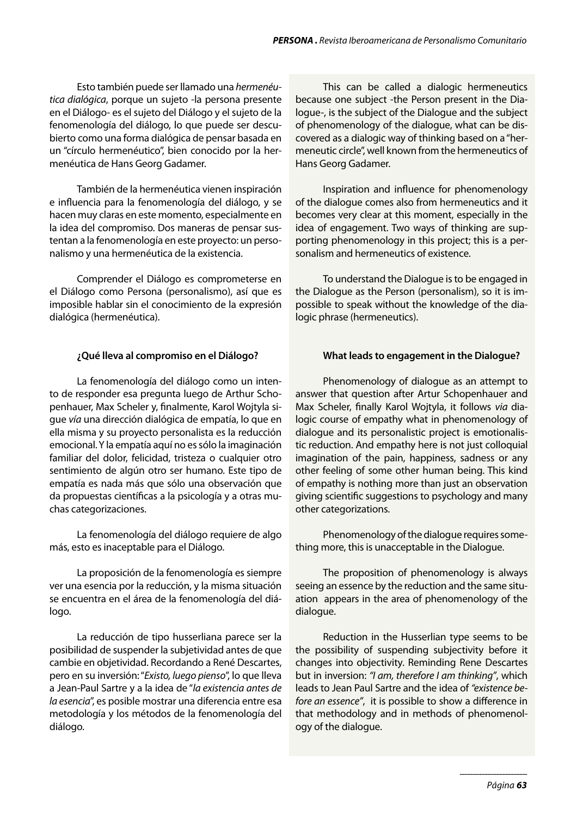Esto también puede ser llamado una hermenéutica dialógica, porque un sujeto -la persona presente en el Diálogo- es el sujeto del Diálogo y el sujeto de la fenomenología del diálogo, lo que puede ser descubierto como una forma dialógica de pensar basada en un "círculo hermenéutico", bien conocido por la hermenéutica de Hans Georg Gadamer.

También de la hermenéutica vienen inspiración e influencia para la fenomenología del diálogo, y se hacen muy claras en este momento, especialmente en la idea del compromiso. Dos maneras de pensar sustentan a la fenomenología en este proyecto: un personalismo y una hermenéutica de la existencia.

Comprender el Diálogo es comprometerse en el Diálogo como Persona (personalismo), así que es imposible hablar sin el conocimiento de la expresión dialógica (hermenéutica).

## **¿Qué lleva al compromiso en el Diálogo?**

La fenomenología del diálogo como un intento de responder esa pregunta luego de Arthur Schopenhauer, Max Scheler y, finalmente, Karol Wojtyla sigue vía una dirección dialógica de empatía, lo que en ella misma y su proyecto personalista es la reducción emocional. Y la empatía aquí no es sólo la imaginación familiar del dolor, felicidad, tristeza o cualquier otro sentimiento de algún otro ser humano. Este tipo de empatía es nada más que sólo una observación que da propuestas científicas a la psicología y a otras muchas categorizaciones.

La fenomenología del diálogo requiere de algo más, esto es inaceptable para el Diálogo.

La proposición de la fenomenología es siempre ver una esencia por la reducción, y la misma situación se encuentra en el área de la fenomenología del diálogo.

La reducción de tipo husserliana parece ser la posibilidad de suspender la subjetividad antes de que cambie en objetividad. Recordando a René Descartes, pero en su inversión: "Existo, luego pienso", lo que lleva a Jean-Paul Sartre y a la idea de "la existencia antes de la esencia", es posible mostrar una diferencia entre esa metodología y los métodos de la fenomenología del diálogo.

This can be called a dialogic hermeneutics because one subject -the Person present in the Dialogue-, is the subject of the Dialogue and the subject of phenomenology of the dialogue, what can be discovered as a dialogic way of thinking based on a "hermeneutic circle", well known from the hermeneutics of Hans Georg Gadamer.

Inspiration and influence for phenomenology of the dialogue comes also from hermeneutics and it becomes very clear at this moment, especially in the idea of engagement. Two ways of thinking are supporting phenomenology in this project; this is a personalism and hermeneutics of existence.

To understand the Dialogue is to be engaged in the Dialogue as the Person (personalism), so it is impossible to speak without the knowledge of the dialogic phrase (hermeneutics).

## **What leads to engagement in the Dialogue?**

Phenomenology of dialogue as an attempt to answer that question after Artur Schopenhauer and Max Scheler, finally Karol Wojtyla, it follows via dialogic course of empathy what in phenomenology of dialogue and its personalistic project is emotionalistic reduction. And empathy here is not just colloquial imagination of the pain, happiness, sadness or any other feeling of some other human being. This kind of empathy is nothing more than just an observation giving scientific suggestions to psychology and many other categorizations.

Phenomenology of the dialogue requires something more, this is unacceptable in the Dialogue.

The proposition of phenomenology is always seeing an essence by the reduction and the same situation appears in the area of phenomenology of the dialogue.

Reduction in the Husserlian type seems to be the possibility of suspending subjectivity before it changes into objectivity. Reminding Rene Descartes but in inversion: "I am, therefore I am thinking", which leads to Jean Paul Sartre and the idea of "existence before an essence", it is possible to show a difference in that methodology and in methods of phenomenology of the dialogue.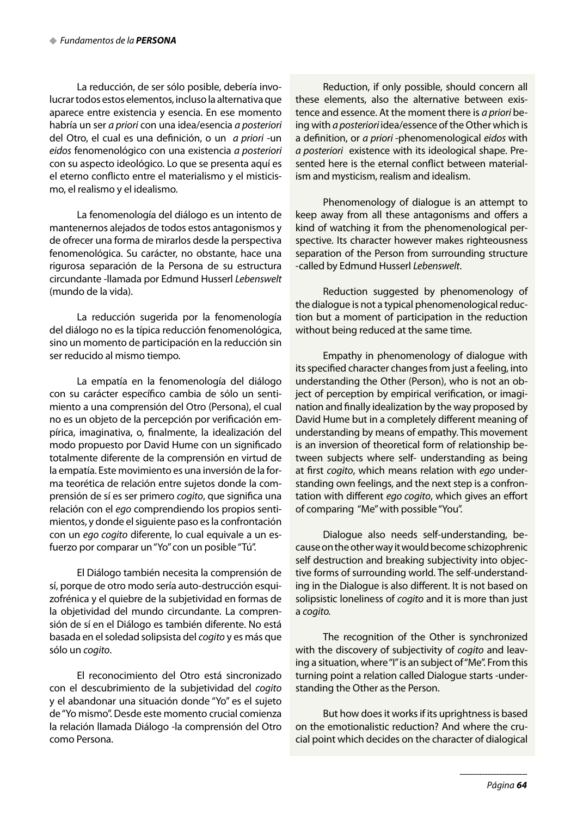La reducción, de ser sólo posible, debería involucrar todos estos elementos, incluso la alternativa que aparece entre existencia y esencia. En ese momento habría un ser a priori con una idea/esencia a posteriori del Otro, el cual es una definición, o un a priori -un eidos fenomenológico con una existencia a posteriori con su aspecto ideológico. Lo que se presenta aquí es el eterno conflicto entre el materialismo y el misticismo, el realismo y el idealismo.

La fenomenología del diálogo es un intento de mantenernos alejados de todos estos antagonismos y de ofrecer una forma de mirarlos desde la perspectiva fenomenológica. Su carácter, no obstante, hace una rigurosa separación de la Persona de su estructura circundante -llamada por Edmund Husserl Lebenswelt (mundo de la vida).

La reducción sugerida por la fenomenología del diálogo no es la típica reducción fenomenológica, sino un momento de participación en la reducción sin ser reducido al mismo tiempo.

La empatía en la fenomenología del diálogo con su carácter específico cambia de sólo un sentimiento a una comprensión del Otro (Persona), el cual no es un objeto de la percepción por verificación empírica, imaginativa, o, finalmente, la idealización del modo propuesto por David Hume con un significado totalmente diferente de la comprensión en virtud de la empatía. Este movimiento es una inversión de la forma teorética de relación entre sujetos donde la comprensión de sí es ser primero cogito, que significa una relación con el ego comprendiendo los propios sentimientos, y donde el siguiente paso es la confrontación con un ego cogito diferente, lo cual equivale a un esfuerzo por comparar un "Yo" con un posible "Tú".

El Diálogo también necesita la comprensión de sí, porque de otro modo sería auto-destrucción esquizofrénica y el quiebre de la subjetividad en formas de la objetividad del mundo circundante. La comprensión de sí en el Diálogo es también diferente. No está basada en el soledad solipsista del cogito y es más que sólo un cogito.

El reconocimiento del Otro está sincronizado con el descubrimiento de la subjetividad del cogito y el abandonar una situación donde "Yo" es el sujeto de "Yo mismo". Desde este momento crucial comienza la relación llamada Diálogo -la comprensión del Otro como Persona.

Reduction, if only possible, should concern all these elements, also the alternative between existence and essence. At the moment there is a priori being with a posteriori idea/essence of the Other which is a definition, or a priori -phenomenological eidos with a posteriori existence with its ideological shape. Presented here is the eternal conflict between materialism and mysticism, realism and idealism.

Phenomenology of dialogue is an attempt to keep away from all these antagonisms and offers a kind of watching it from the phenomenological perspective. Its character however makes righteousness separation of the Person from surrounding structure -called by Edmund Husserl Lebenswelt.

Reduction suggested by phenomenology of the dialogue is not a typical phenomenological reduction but a moment of participation in the reduction without being reduced at the same time.

Empathy in phenomenology of dialogue with its specified character changes from just a feeling, into understanding the Other (Person), who is not an object of perception by empirical verification, or imagination and finally idealization by the way proposed by David Hume but in a completely different meaning of understanding by means of empathy. This movement is an inversion of theoretical form of relationship between subjects where self- understanding as being at first cogito, which means relation with ego understanding own feelings, and the next step is a confrontation with different ego cogito, which gives an effort of comparing "Me" with possible "You".

Dialogue also needs self-understanding, because on the other way it would become schizophrenic self destruction and breaking subjectivity into objective forms of surrounding world. The self-understanding in the Dialogue is also different. It is not based on solipsistic loneliness of cogito and it is more than just a cogito.

The recognition of the Other is synchronized with the discovery of subjectivity of cogito and leaving a situation, where "I" is an subject of "Me". From this turning point a relation called Dialogue starts -understanding the Other as the Person.

But how does it works if its uprightness is based on the emotionalistic reduction? And where the crucial point which decides on the character of dialogical